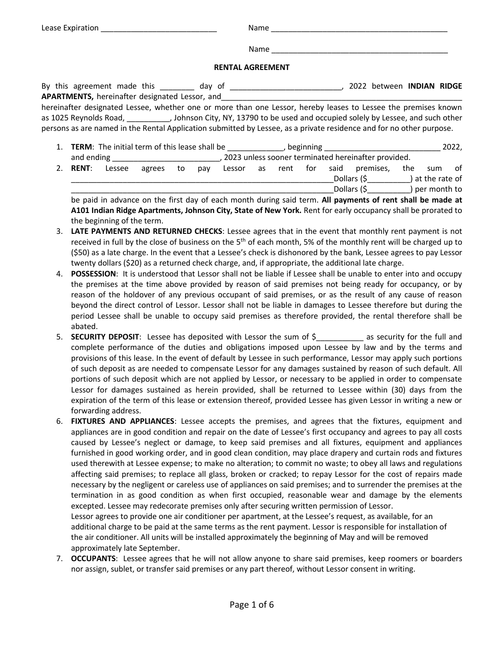| Lease Expiration<br>. | lmn<br>N<br>______ |  |
|-----------------------|--------------------|--|
|                       |                    |  |

Name \_\_\_\_\_\_\_\_\_\_\_\_\_\_\_\_\_\_\_\_\_\_\_\_\_\_\_\_\_\_\_\_\_\_\_\_\_\_\_\_\_

## **RENTAL AGREEMENT**

|                                                |                        | By this agreement made this by day of |  | 2022 between INDIAN RIDGE                                                                                            |  |
|------------------------------------------------|------------------------|---------------------------------------|--|----------------------------------------------------------------------------------------------------------------------|--|
| APARTMENTS, hereinafter designated Lessor, and |                        |                                       |  |                                                                                                                      |  |
|                                                |                        |                                       |  | hereinafter designated Lessee, whether one or more than one Lessor, hereby leases to Lessee the premises known       |  |
|                                                | as 1025 Reynolds Road, |                                       |  | , Johnson City, NY, 13790 to be used and occupied solely by Lessee, and such other                                   |  |
|                                                |                        |                                       |  | persons as are named in the Rental Application submitted by Lessee, as a private residence and for no other purpose. |  |

1. **TERM**: The initial term of this lease shall be the subset of positioning the same of this lease shall be the subset of position  $2022$ , and ending \_\_\_\_\_\_\_\_\_\_\_\_\_\_\_\_\_\_\_\_\_\_\_\_\_, 2023 unless sooner terminated hereinafter provided. 2. **RENT**: Lessee agrees to pay Lessor as rent for said premises, the sum of  $\Delta$  Dollars (\$  $\Delta$  ) at the rate of \_\_\_\_\_\_\_\_\_\_\_\_\_\_\_\_\_\_\_\_\_\_\_\_\_\_\_\_\_\_\_\_\_\_\_\_\_\_\_\_\_\_\_\_\_\_\_\_\_\_\_\_\_\_\_\_\_\_\_\_\_Dollars (\$\_\_\_\_\_\_\_\_\_\_) per month to

be paid in advance on the first day of each month during said term. **All payments of rent shall be made at A101 Indian Ridge Apartments, Johnson City, State of New York.** Rent for early occupancy shall be prorated to the beginning of the term.

- 3. **LATE PAYMENTS AND RETURNED CHECKS**: Lessee agrees that in the event that monthly rent payment is not received in full by the close of business on the 5<sup>th</sup> of each month, 5% of the monthly rent will be charged up to (\$50) as a late charge. In the event that a Lessee's check is dishonored by the bank, Lessee agrees to pay Lessor twenty dollars (\$20) as a returned check charge, and, if appropriate, the additional late charge.
- 4. **POSSESSION**: It is understood that Lessor shall not be liable if Lessee shall be unable to enter into and occupy the premises at the time above provided by reason of said premises not being ready for occupancy, or by reason of the holdover of any previous occupant of said premises, or as the result of any cause of reason beyond the direct control of Lessor. Lessor shall not be liable in damages to Lessee therefore but during the period Lessee shall be unable to occupy said premises as therefore provided, the rental therefore shall be abated.
- 5. **SECURITY DEPOSIT:** Lessee has deposited with Lessor the sum of \$ as security for the full and complete performance of the duties and obligations imposed upon Lessee by law and by the terms and provisions of this lease. In the event of default by Lessee in such performance, Lessor may apply such portions of such deposit as are needed to compensate Lessor for any damages sustained by reason of such default. All portions of such deposit which are not applied by Lessor, or necessary to be applied in order to compensate Lessor for damages sustained as herein provided, shall be returned to Lessee within (30) days from the expiration of the term of this lease or extension thereof, provided Lessee has given Lessor in writing a new or forwarding address.
- 6. **FIXTURES AND APPLIANCES**: Lessee accepts the premises, and agrees that the fixtures, equipment and appliances are in good condition and repair on the date of Lessee's first occupancy and agrees to pay all costs caused by Lessee's neglect or damage, to keep said premises and all fixtures, equipment and appliances furnished in good working order, and in good clean condition, may place drapery and curtain rods and fixtures used therewith at Lessee expense; to make no alteration; to commit no waste; to obey all laws and regulations affecting said premises; to replace all glass, broken or cracked; to repay Lessor for the cost of repairs made necessary by the negligent or careless use of appliances on said premises; and to surrender the premises at the termination in as good condition as when first occupied, reasonable wear and damage by the elements excepted. Lessee may redecorate premises only after securing written permission of Lessor. Lessor agrees to provide one air conditioner per apartment, at the Lessee's request, as available, for an

additional charge to be paid at the same terms as the rent payment. Lessor is responsible for installation of the air conditioner. All units will be installed approximately the beginning of May and will be removed approximately late September.

7. **OCCUPANTS**: Lessee agrees that he will not allow anyone to share said premises, keep roomers or boarders nor assign, sublet, or transfer said premises or any part thereof, without Lessor consent in writing.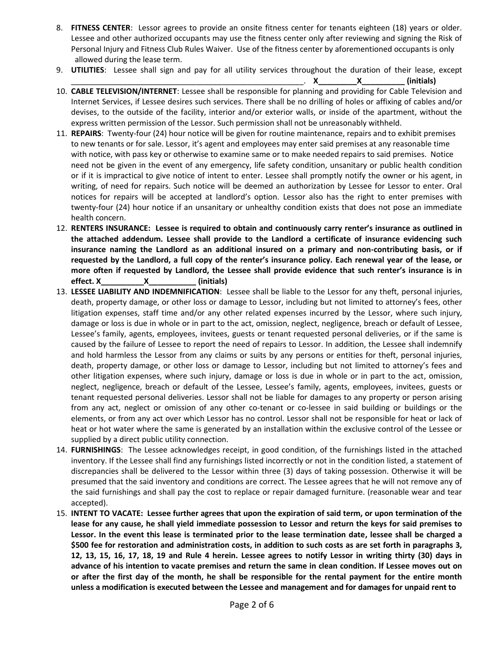- 8. **FITNESS CENTER**: Lessor agrees to provide an onsite fitness center for tenants eighteen (18) years or older. Lessee and other authorized occupants may use the fitness center only after reviewing and signing the Risk of Personal Injury and Fitness Club Rules Waiver. Use of the fitness center by aforementioned occupants is only allowed during the lease term.
- 9. **UTILITIES**: Lessee shall sign and pay for all utility services throughout the duration of their lease, except
- \_\_\_\_\_\_\_\_\_\_\_\_\_\_\_\_\_\_\_\_\_\_\_\_\_\_\_\_\_\_\_\_\_\_\_\_\_\_\_\_\_\_\_\_\_\_\_\_\_\_\_\_\_\_. **X\_\_\_\_\_\_\_\_\_X\_\_\_\_\_\_\_\_\_\_ (initials)** 10. **CABLE TELEVISION/INTERNET**: Lessee shall be responsible for planning and providing for Cable Television and Internet Services, if Lessee desires such services. There shall be no drilling of holes or affixing of cables and/or devises, to the outside of the facility, interior and/or exterior walls, or inside of the apartment, without the express written permission of the Lessor. Such permission shall not be unreasonably withheld.
- 11. **REPAIRS**: Twenty-four (24) hour notice will be given for routine maintenance, repairs and to exhibit premises to new tenants or for sale. Lessor, it's agent and employees may enter said premises at any reasonable time with notice, with pass key or otherwise to examine same or to make needed repairs to said premises. Notice need not be given in the event of any emergency, life safety condition, unsanitary or public health condition or if it is impractical to give notice of intent to enter. Lessee shall promptly notify the owner or his agent, in writing, of need for repairs. Such notice will be deemed an authorization by Lessee for Lessor to enter. Oral notices for repairs will be accepted at landlord's option. Lessor also has the right to enter premises with twenty-four (24) hour notice if an unsanitary or unhealthy condition exists that does not pose an immediate health concern.
- 12. **RENTERS INSURANCE: Lessee is required to obtain and continuously carry renter's insurance as outlined in the attached addendum. Lessee shall provide to the Landlord a certificate of insurance evidencing such insurance naming the Landlord as an additional insured on a primary and non-contributing basis, or if requested by the Landlord, a full copy of the renter's insurance policy. Each renewal year of the lease, or more often if requested by Landlord, the Lessee shall provide evidence that such renter's insurance is in effect. X\_\_\_\_\_\_\_\_\_\_X\_\_\_\_\_\_\_\_\_\_\_ (initials)**
- 13. **LESSEE LIABILITY AND INDEMNIFICATION**: Lessee shall be liable to the Lessor for any theft, personal injuries, death, property damage, or other loss or damage to Lessor, including but not limited to attorney's fees, other litigation expenses, staff time and/or any other related expenses incurred by the Lessor, where such injury, damage or loss is due in whole or in part to the act, omission, neglect, negligence, breach or default of Lessee, Lessee's family, agents, employees, invitees, guests or tenant requested personal deliveries, or if the same is caused by the failure of Lessee to report the need of repairs to Lessor. In addition, the Lessee shall indemnify and hold harmless the Lessor from any claims or suits by any persons or entities for theft, personal injuries, death, property damage, or other loss or damage to Lessor, including but not limited to attorney's fees and other litigation expenses, where such injury, damage or loss is due in whole or in part to the act, omission, neglect, negligence, breach or default of the Lessee, Lessee's family, agents, employees, invitees, guests or tenant requested personal deliveries. Lessor shall not be liable for damages to any property or person arising from any act, neglect or omission of any other co-tenant or co-lessee in said building or buildings or the elements, or from any act over which Lessor has no control. Lessor shall not be responsible for heat or lack of heat or hot water where the same is generated by an installation within the exclusive control of the Lessee or supplied by a direct public utility connection.
- 14. **FURNISHINGS**: The Lessee acknowledges receipt, in good condition, of the furnishings listed in the attached inventory. If the Lessee shall find any furnishings listed incorrectly or not in the condition listed, a statement of discrepancies shall be delivered to the Lessor within three (3) days of taking possession. Otherwise it will be presumed that the said inventory and conditions are correct. The Lessee agrees that he will not remove any of the said furnishings and shall pay the cost to replace or repair damaged furniture. (reasonable wear and tear accepted).
- 15. **INTENT TO VACATE: Lessee further agrees that upon the expiration of said term, or upon termination of the lease for any cause, he shall yield immediate possession to Lessor and return the keys for said premises to Lessor. In the event this lease is terminated prior to the lease termination date, lessee shall be charged a \$500 fee for restoration and administration costs, in addition to such costs as are set forth in paragraphs 3, 12, 13, 15, 16, 17, 18, 19 and Rule 4 herein. Lessee agrees to notify Lessor in writing thirty (30) days in advance of his intention to vacate premises and return the same in clean condition. If Lessee moves out on or after the first day of the month, he shall be responsible for the rental payment for the entire month unless a modification is executed between the Lessee and management and for damages for unpaid rent to**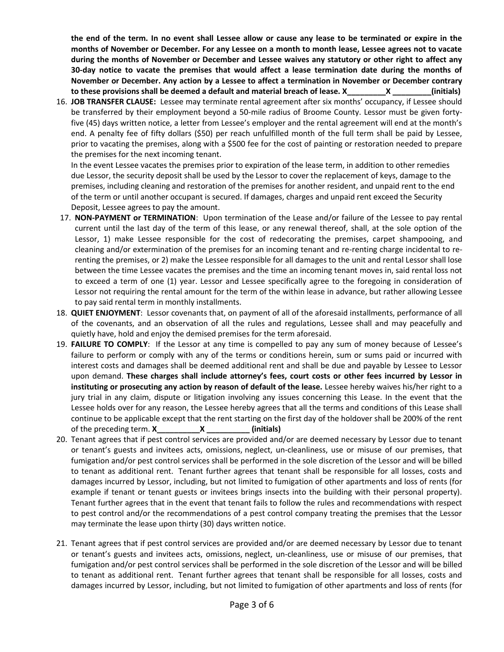**the end of the term. In no event shall Lessee allow or cause any lease to be terminated or expire in the months of November or December. For any Lessee on a month to month lease, Lessee agrees not to vacate during the months of November or December and Lessee waives any statutory or other right to affect any 30-day notice to vacate the premises that would affect a lease termination date during the months of November or December. Any action by a Lessee to affect a termination in November or December contrary to these provisions shall be deemed a default and material breach of lease. X\_\_\_\_\_\_\_\_\_X \_\_\_\_\_\_\_\_\_(initials)**

16. **JOB TRANSFER CLAUSE:** Lessee may terminate rental agreement after six months' occupancy, if Lessee should be transferred by their employment beyond a 50-mile radius of Broome County. Lessor must be given fortyfive (45) days written notice, a letter from Lessee's employer and the rental agreement will end at the month's end. A penalty fee of fifty dollars (\$50) per reach unfulfilled month of the full term shall be paid by Lessee, prior to vacating the premises, along with a \$500 fee for the cost of painting or restoration needed to prepare the premises for the next incoming tenant.

In the event Lessee vacates the premises prior to expiration of the lease term, in addition to other remedies due Lessor, the security deposit shall be used by the Lessor to cover the replacement of keys, damage to the premises, including cleaning and restoration of the premises for another resident, and unpaid rent to the end of the term or until another occupant is secured. If damages, charges and unpaid rent exceed the Security Deposit, Lessee agrees to pay the amount.

- 17. **NON-PAYMENT or TERMINATION**: Upon termination of the Lease and/or failure of the Lessee to pay rental current until the last day of the term of this lease, or any renewal thereof, shall, at the sole option of the Lessor, 1) make Lessee responsible for the cost of redecorating the premises, carpet shampooing, and cleaning and/or extermination of the premises for an incoming tenant and re-renting charge incidental to rerenting the premises, or 2) make the Lessee responsible for all damages to the unit and rental Lessor shall lose between the time Lessee vacates the premises and the time an incoming tenant moves in, said rental loss not to exceed a term of one (1) year. Lessor and Lessee specifically agree to the foregoing in consideration of Lessor not requiring the rental amount for the term of the within lease in advance, but rather allowing Lessee to pay said rental term in monthly installments.
- 18. **QUIET ENJOYMENT**: Lessor covenants that, on payment of all of the aforesaid installments, performance of all of the covenants, and an observation of all the rules and regulations, Lessee shall and may peacefully and quietly have, hold and enjoy the demised premises for the term aforesaid.
- 19. **FAILURE TO COMPLY**: If the Lessor at any time is compelled to pay any sum of money because of Lessee's failure to perform or comply with any of the terms or conditions herein, sum or sums paid or incurred with interest costs and damages shall be deemed additional rent and shall be due and payable by Lessee to Lessor upon demand. **These charges shall include attorney's fees, court costs or other fees incurred by Lessor in instituting or prosecuting any action by reason of default of the lease.** Lessee hereby waives his/her right to a jury trial in any claim, dispute or litigation involving any issues concerning this Lease. In the event that the Lessee holds over for any reason, the Lessee hereby agrees that all the terms and conditions of this Lease shall continue to be applicable except that the rent starting on the first day of the holdover shall be 200% of the rent of the preceding term. **X\_\_\_\_\_\_\_\_\_\_X \_\_\_\_\_\_\_\_\_\_ (initials)**
- 20. Tenant agrees that if pest control services are provided and/or are deemed necessary by Lessor due to tenant or tenant's guests and invitees acts, omissions, neglect, un-cleanliness, use or misuse of our premises, that fumigation and/or pest control services shall be performed in the sole discretion of the Lessor and will be billed to tenant as additional rent. Tenant further agrees that tenant shall be responsible for all losses, costs and damages incurred by Lessor, including, but not limited to fumigation of other apartments and loss of rents (for example if tenant or tenant guests or invitees brings insects into the building with their personal property). Tenant further agrees that in the event that tenant fails to follow the rules and recommendations with respect to pest control and/or the recommendations of a pest control company treating the premises that the Lessor may terminate the lease upon thirty (30) days written notice.
- 21. Tenant agrees that if pest control services are provided and/or are deemed necessary by Lessor due to tenant or tenant's guests and invitees acts, omissions, neglect, un-cleanliness, use or misuse of our premises, that fumigation and/or pest control services shall be performed in the sole discretion of the Lessor and will be billed to tenant as additional rent. Tenant further agrees that tenant shall be responsible for all losses, costs and damages incurred by Lessor, including, but not limited to fumigation of other apartments and loss of rents (for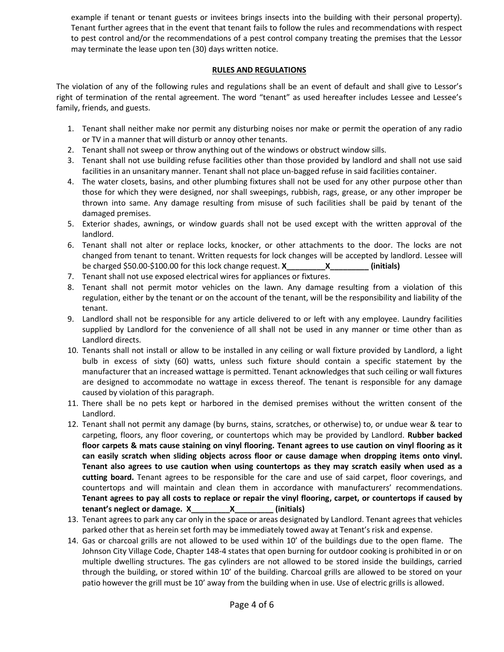example if tenant or tenant guests or invitees brings insects into the building with their personal property). Tenant further agrees that in the event that tenant fails to follow the rules and recommendations with respect to pest control and/or the recommendations of a pest control company treating the premises that the Lessor may terminate the lease upon ten (30) days written notice.

## **RULES AND REGULATIONS**

The violation of any of the following rules and regulations shall be an event of default and shall give to Lessor's right of termination of the rental agreement. The word "tenant" as used hereafter includes Lessee and Lessee's family, friends, and guests.

- 1. Tenant shall neither make nor permit any disturbing noises nor make or permit the operation of any radio or TV in a manner that will disturb or annoy other tenants.
- 2. Tenant shall not sweep or throw anything out of the windows or obstruct window sills.
- 3. Tenant shall not use building refuse facilities other than those provided by landlord and shall not use said facilities in an unsanitary manner. Tenant shall not place un-bagged refuse in said facilities container.
- 4. The water closets, basins, and other plumbing fixtures shall not be used for any other purpose other than those for which they were designed, nor shall sweepings, rubbish, rags, grease, or any other improper be thrown into same. Any damage resulting from misuse of such facilities shall be paid by tenant of the damaged premises.
- 5. Exterior shades, awnings, or window guards shall not be used except with the written approval of the landlord.
- 6. Tenant shall not alter or replace locks, knocker, or other attachments to the door. The locks are not changed from tenant to tenant. Written requests for lock changes will be accepted by landlord. Lessee will be charged \$50.00-\$100.00 for this lock change request. **X\_\_\_\_\_\_\_\_\_X\_\_\_\_\_\_\_\_\_ (initials)**
- 7. Tenant shall not use exposed electrical wires for appliances or fixtures.
- 8. Tenant shall not permit motor vehicles on the lawn. Any damage resulting from a violation of this regulation, either by the tenant or on the account of the tenant, will be the responsibility and liability of the tenant.
- 9. Landlord shall not be responsible for any article delivered to or left with any employee. Laundry facilities supplied by Landlord for the convenience of all shall not be used in any manner or time other than as Landlord directs.
- 10. Tenants shall not install or allow to be installed in any ceiling or wall fixture provided by Landlord, a light bulb in excess of sixty (60) watts, unless such fixture should contain a specific statement by the manufacturer that an increased wattage is permitted. Tenant acknowledges that such ceiling or wall fixtures are designed to accommodate no wattage in excess thereof. The tenant is responsible for any damage caused by violation of this paragraph.
- 11. There shall be no pets kept or harbored in the demised premises without the written consent of the Landlord.
- 12. Tenant shall not permit any damage (by burns, stains, scratches, or otherwise) to, or undue wear & tear to carpeting, floors, any floor covering, or countertops which may be provided by Landlord. **Rubber backed floor carpets & mats cause staining on vinyl flooring. Tenant agrees to use caution on vinyl flooring as it can easily scratch when sliding objects across floor or cause damage when dropping items onto vinyl. Tenant also agrees to use caution when using countertops as they may scratch easily when used as a cutting board.** Tenant agrees to be responsible for the care and use of said carpet, floor coverings, and countertops and will maintain and clean them in accordance with manufacturers' recommendations. **Tenant agrees to pay all costs to replace or repair the vinyl flooring, carpet, or countertops if caused by tenant's neglect or damage. X\_\_\_\_\_\_\_\_\_X\_\_\_\_\_\_\_\_\_ (initials)**
- 13. Tenant agrees to park any car only in the space or areas designated by Landlord. Tenant agrees that vehicles parked other that as herein set forth may be immediately towed away at Tenant's risk and expense.
- 14. Gas or charcoal grills are not allowed to be used within 10' of the buildings due to the open flame. The Johnson City Village Code, Chapter 148-4 states that open burning for outdoor cooking is prohibited in or on multiple dwelling structures. The gas cylinders are not allowed to be stored inside the buildings, carried through the building, or stored within 10' of the building. Charcoal grills are allowed to be stored on your patio however the grill must be 10' away from the building when in use. Use of electric grills is allowed.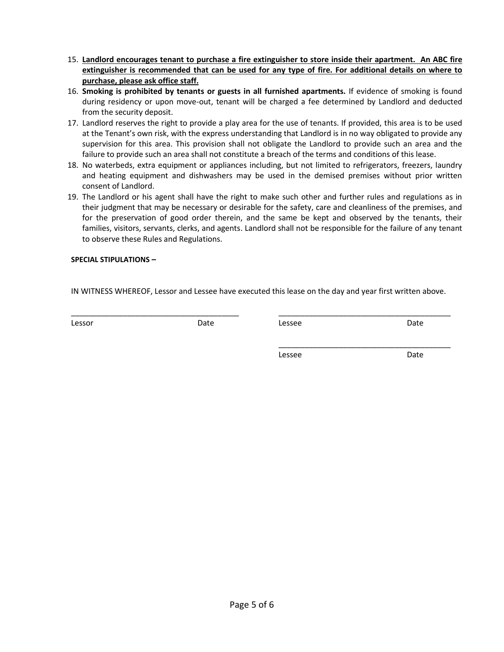- 15. **Landlord encourages tenant to purchase a fire extinguisher to store inside their apartment. An ABC fire extinguisher is recommended that can be used for any type of fire. For additional details on where to purchase, please ask office staff.**
- 16. **Smoking is prohibited by tenants or guests in all furnished apartments.** If evidence of smoking is found during residency or upon move-out, tenant will be charged a fee determined by Landlord and deducted from the security deposit.
- 17. Landlord reserves the right to provide a play area for the use of tenants. If provided, this area is to be used at the Tenant's own risk, with the express understanding that Landlord is in no way obligated to provide any supervision for this area. This provision shall not obligate the Landlord to provide such an area and the failure to provide such an area shall not constitute a breach of the terms and conditions of this lease.
- 18. No waterbeds, extra equipment or appliances including, but not limited to refrigerators, freezers, laundry and heating equipment and dishwashers may be used in the demised premises without prior written consent of Landlord.
- 19. The Landlord or his agent shall have the right to make such other and further rules and regulations as in their judgment that may be necessary or desirable for the safety, care and cleanliness of the premises, and for the preservation of good order therein, and the same be kept and observed by the tenants, their families, visitors, servants, clerks, and agents. Landlord shall not be responsible for the failure of any tenant to observe these Rules and Regulations.

## **SPECIAL STIPULATIONS –**

IN WITNESS WHEREOF, Lessor and Lessee have executed this lease on the day and year first written above.

\_\_\_\_\_\_\_\_\_\_\_\_\_\_\_\_\_\_\_\_\_\_\_\_\_\_\_\_\_\_\_\_\_\_\_\_\_\_\_ \_\_\_\_\_\_\_\_\_\_\_\_\_\_\_\_\_\_\_\_\_\_\_\_\_\_\_\_\_\_\_\_\_\_\_\_\_\_\_\_ Lessor **Date** Date **Date** Lessee **Date** Lessee **Date** 

Lessee Date

\_\_\_\_\_\_\_\_\_\_\_\_\_\_\_\_\_\_\_\_\_\_\_\_\_\_\_\_\_\_\_\_\_\_\_\_\_\_\_\_